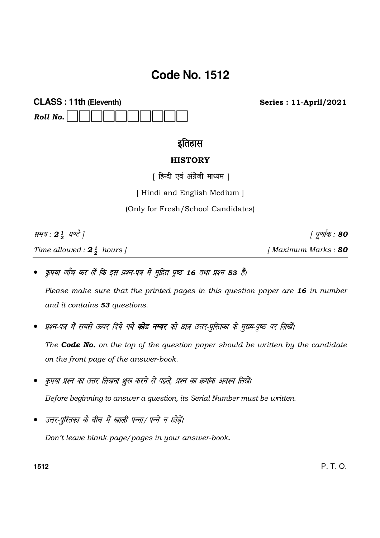# **Code No. 1512**

**CLASS: 11th (Eleventh)** Roll No.

**Series: 11-April/2021** 

# इतिहास

# **HISTORY**

[ हिन्दी एवं अंग्रेजी माध्यम ]

[Hindi and English Medium]

(Only for Fresh/School Candidates)

समय: 24 घण्टे |

Time allowed:  $2\frac{1}{2}$  hours ]

*। पूर्णांक* : 80

[Maximum Marks: 80

कृपया जाँच कर लें कि इस प्रश्न-पत्र में मुद्रित पृष्ठ 16 तथा प्रश्न 53 हैं।

Please make sure that the printed pages in this question paper are 16 in number and it contains 53 questions.

प्रश्न-पत्र में सबसे ऊपर दिये गये **कोड नम्बर** को छात्र उत्तर-पुस्तिका के मुख्य-पृष्ठ पर लिखें।

The **Code No.** on the top of the question paper should be written by the candidate on the front page of the answer-book.

- कृपया प्रश्न का उत्तर लिखना शुरू करने से पहले, प्रश्न का क्रमांक अवश्य लिखें। Before beginning to answer a question, its Serial Number must be written.
- उत्तर-परितका के बीच में खाली पन्ना/ पन्ने न छोड़ें।

Don't leave blank page/pages in your answer-book.

1512

 $P. T. O.$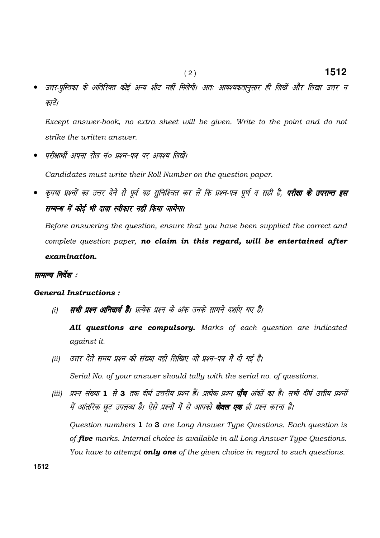उत्तर-पुस्तिका के अतिरिक्त कोई अन्य शीट नहीं मिलेगी। अतः आवश्यकतानुसार ही लिखें और लिखा उत्तर न काटें।

Except answer-book, no extra sheet will be given. Write to the point and do not strike the written answer.

परीक्षार्थी अपना रोल नं० प्रश्न-पत्र पर अवश्य लिखें।

Candidates must write their Roll Number on the question paper.

कृपया प्रश्नों का उत्तर देने से पूर्व यह सुनिश्चित कर लें कि प्रश्न-पत्र पूर्ण व सही है, **परीक्षा के उपरान्त इस** सम्बन्ध में कोई भी दावा स्वीकार नहीं किया जायेगा।

Before answering the question, ensure that you have been supplied the correct and complete question paper, no claim in this regard, will be entertained after examination.

## सामान्य निर्देश :

## **General Instructions:**

सभी प्रश्न अनिवार्य हैं। प्रत्येक प्रश्न के अंक उनके सामने दर्शाए गए हैं।  $(i)$ 

All questions are compulsory. Marks of each question are indicated against it.

- उत्तर देते समय प्रश्न की संख्या वही लिखिए जो प्रश्न-पत्र में दी गई है।  $(ii)$ Serial No. of your answer should tally with the serial no. of questions.
- (iii) प्रश्न संख्या 1 से 3 तक दीर्घ उत्तरीय प्रश्न हैं। प्रत्येक प्रश्न **पाँच** अंकों का है। सभी दीर्घ उत्तीय प्रश्नों में आंतरिक छूट उपलब्ध है। ऐसे प्रश्नों में से आपको **केवल एक** ही प्रश्न करना है। Question numbers 1 to 3 are Long Answer Type Questions. Each question is of five marks. Internal choice is available in all Long Answer Type Questions.

You have to attempt **only one** of the given choice in regard to such questions.

1512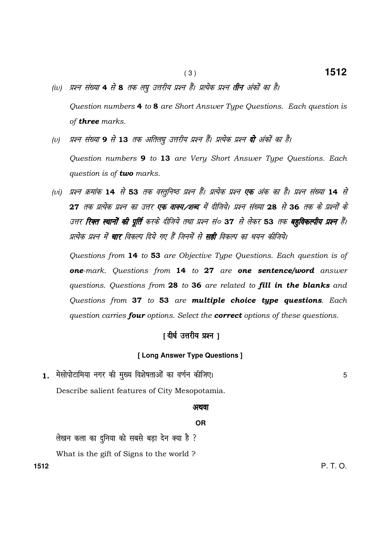- (iv) प्रश्न संख्या 4 से 8 तक लघु उत्तरीय प्रश्न हैं। प्रत्येक प्रश्न **तीन** अंकों का है। Question numbers 4 to 8 are Short Answer Type Questions. Each question is of **three** marks.
- (v) प्रश्न संख्या 9 से 13 तक अतिलपू उत्तरीय प्रश्न हैं। प्रत्येक प्रश्न **दो** अंकों का है।

 Question numbers 9 to 13 are Very Short Answer Type Questions. Each question is of **two** marks.

(vi) प्रश्न क्रमांक 14 से 53 तक वस्तूनिष्ठ प्रश्न हैं। प्रत्येक प्रश्न **एक** अंक का है। प्रश्न संख्या 14 से 27 तक प्रत्येक प्रश्न का उत्तर एक वाक्य ⁄शब्द में दीजिये। प्रश्न संख्या 28 से 36 तक के प्रश्नों के उत्तर **रिक्त स्थानों की पूर्ति** करके दीजिये तथा प्रश्न सं० 37 से लेकर 53 तक **बहविकल्पीय प्रश्न** हैं। प्रत्येक प्रश्न में **चार** विकल्प दिये गए हैं जिनमें से **सही** विकल्प का चयन कीजिये।

 Questions from 14 to 53 are Objective Type Questions. Each question is of one-mark. Questions from 14 to 27 are one sentence/word answer questions. Questions from 28 to 36 are related to fill in the blanks and Questions from 37 to 53 are multiple choice type questions. Each question carries **four** options. Select the **correct** options of these questions.

# $| \mathbf{r} |$  दीर्घ उत्तरीय प्रश्न ।

### **[ Long Answer Type Questions ]**

1. मेसोपोटामिया नगर की मुख्य विशेषताओं का वर्णन कीजिए। सर्वाट का सामान कर साथ पर 5 Describe salient features of City Mesopotamia.

#### अथवा

#### **OR**

लेखन कला का दुनिया को सबसे बड़ा देन क्या है ?

What is the gift of Signs to the world ?

**1512** P. T. O.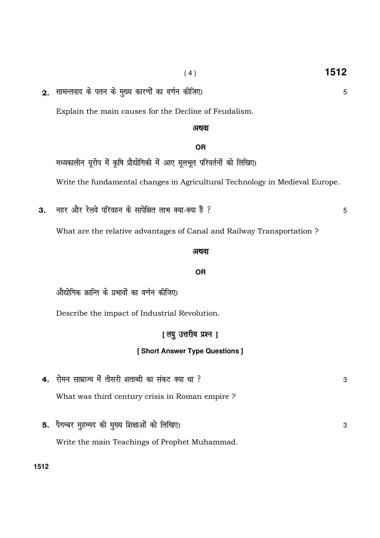5

5

3

2. सामन्तवाद के पतन के मुख्य कारणों का वर्णन कीजिए।

Explain the main causes for the Decline of Feudalism.

# अथवा

# **OR**

मध्यकालीन यूरोप में कृषि प्रौद्योगिकी में आए मूलभूत परिवर्तनों को लिखिए। Write the fundamental changes in Agricultural Technology in Medieval Europe.

नहर और रेलवे परिवहन के सापेक्षित लाभ क्या-क्या हैं ? 3.

What are the relative advantages of Canal and Railway Transportation ?

# अथवा

## **OR**

औद्योगिक क्रान्ति के प्रभावों का वर्णन कीजिए।

5. पैगम्बर महम्मद की मुख्य शिक्षाओं को लिखिए।

Describe the impact of Industrial Revolution.

# [लघु उत्तरीय प्रश्न ]

# [Short Answer Type Questions]

4. रोमन साम्राज्य में तीसरी शताब्दी का संकट क्या था ? 3 What was third century crisis in Roman empire ?

Write the main Teachings of Prophet Muhammad.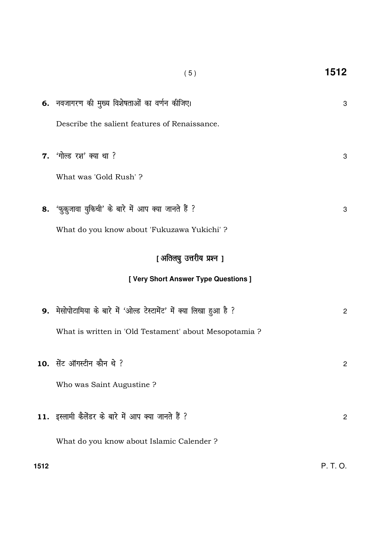|      | (5)                                                                  | 1512           |
|------|----------------------------------------------------------------------|----------------|
|      | 6. नवजागरण की मुख्य विशेषताओं का वर्णन कीजिए।                        | 3              |
|      | Describe the salient features of Renaissance.                        |                |
|      | <b>7.</b> 'गोल्ड रश' क्या था ?                                       | 3              |
|      | What was 'Gold Rush'?                                                |                |
|      | 8. 'फ़ुक़ुजावा युकिची' के बारे में आप क्या जानते हैं ?               | 3              |
|      | What do you know about 'Fukuzawa Yukichi'?                           |                |
|      | [ अतिलघु उत्तरीय प्रश्न ]                                            |                |
|      | [ Very Short Answer Type Questions ]                                 |                |
|      | 9. मेसोपोटामिया के बारे में 'ओल्ड टेस्टामेंट' में क्या लिखा हुआ है ? | $\overline{2}$ |
|      | What is written in 'Old Testament' about Mesopotamia ?               |                |
|      | 10. सेंट ऑगस्टीन कौन थे ?                                            | $\overline{2}$ |
|      | Who was Saint Augustine?                                             |                |
|      | 11. इस्लामी कैलेंडर के बारे में आप क्या जानते हैं ?                  | $\overline{2}$ |
|      | What do you know about Islamic Calender ?                            |                |
| 1512 |                                                                      | P. T. O.       |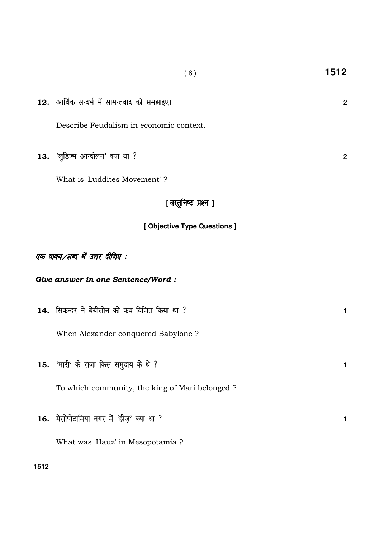| 12. आर्थिक सन्दर्भ में सामन्तवाद को समझाइए।    | $\overline{2}$ |  |  |  |
|------------------------------------------------|----------------|--|--|--|
| Describe Feudalism in economic context.        |                |  |  |  |
| 13. 'लुडिज्म आन्दोलन' क्या था ?                | $\overline{2}$ |  |  |  |
| What is 'Luddites Movement' ?                  |                |  |  |  |
| [वस्तूनिष्ठ प्रश्न ]                           |                |  |  |  |
| [ Objective Type Questions ]                   |                |  |  |  |
| एक वाक्य ⁄शब्द में उत्तर दीजिए :               |                |  |  |  |
| Give answer in one Sentence/Word:              |                |  |  |  |
| 14. सिकन्दर ने बेबीलोन को कब विजित किया था ?   | $\mathbf{1}$   |  |  |  |
| When Alexander conquered Babylone ?            |                |  |  |  |
| 15. 'मारी' के राजा किस समुदाय के थे ?          | $\mathbf{1}$   |  |  |  |
| To which community, the king of Mari belonged? |                |  |  |  |
| 16. मेसोपोटामिया नगर में 'हौज़' क्या था ?      | 1              |  |  |  |

What was 'Hauz' in Mesopotamia ?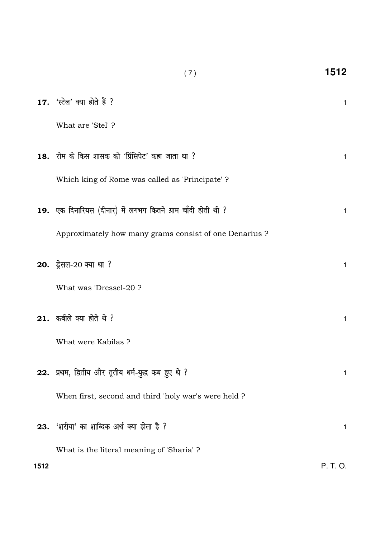|      | 17. 'स्टेल' क्या होते हैं ?                                  | 1        |
|------|--------------------------------------------------------------|----------|
|      | What are 'Stel'?                                             |          |
|      | 18. रोम के किस शासक को 'प्रिंसिपेट' कहा जाता था ?            | 1        |
|      | Which king of Rome was called as 'Principate'?               |          |
|      | 19. एक दिनारियस (दीनार) में लगभग कितने ग्राम चाँदी होती थी ? | 1        |
|      | Approximately how many grams consist of one Denarius ?       |          |
|      | 20. ड्रेसल-20 क्या था ?                                      | 1        |
|      | What was 'Dressel-20 ?                                       |          |
|      | 21. कबीले क्या होते थे ?                                     | 1        |
|      | What were Kabilas ?                                          |          |
|      | 22. प्रथम, द्वितीय और तृतीय धर्म-युद्ध कब हुए थे ?           | 1        |
|      | When first, second and third 'holy war's were held ?         |          |
|      | 23. 'शरीया' का शाब्दिक अर्थ क्या होता है ?                   | 1        |
|      | What is the literal meaning of 'Sharia' ?                    |          |
| 1512 |                                                              | P. T. O. |

 $(\,7\,)$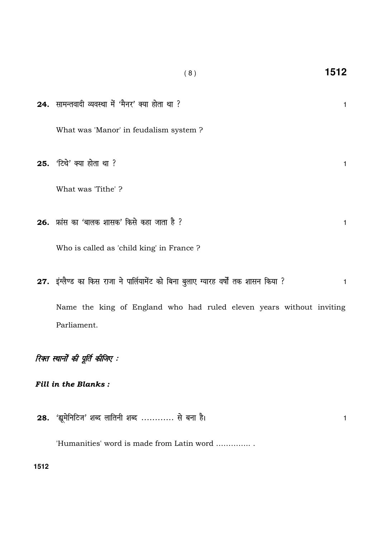| 24. सामन्तवादी व्यवस्था में 'मैनर' क्या होता था ?                                    |              |
|--------------------------------------------------------------------------------------|--------------|
|                                                                                      | $\mathbf{1}$ |
| What was 'Manor' in feudalism system?                                                |              |
| 25. 'टिथे' क्या होता था ?                                                            | $\mathbf{1}$ |
| What was 'Tithe'?                                                                    |              |
|                                                                                      |              |
| <b>26.</b> फ्रांस का 'बालक शासक' किसे कहा जाता है ?                                  | $\mathbf{1}$ |
| Who is called as 'child king' in France?                                             |              |
| 27. इंग्लैण्ड का किस राजा ने पार्लियामेंट को बिना बुलाए ग्यारह वर्षों तक शासन किया ? | $\mathbf{1}$ |
| Name the king of England who had ruled eleven years without inviting                 |              |
| Parliament.                                                                          |              |
| रिक्त स्थानों की पूर्ति कीजिए :                                                      |              |
| <b>Fill in the Blanks:</b>                                                           |              |
| 28. 'ह्यूमेनिटिज' शब्द लातिनी शब्द  से बना है।                                       | 1            |

 $(8)$ 

1512

'Humanities' word is made from Latin word ...............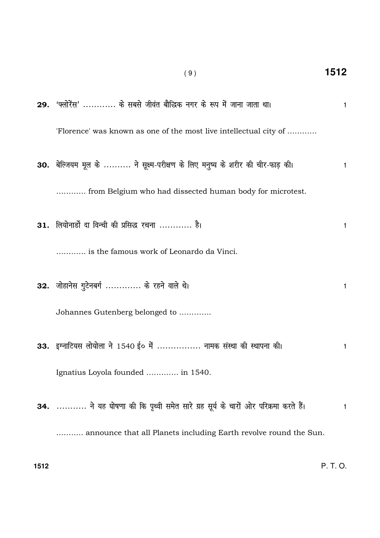29. 'फ्लोरेंस' ............ के सबसे जीवंत बौद्धिक नगर के रूप में जाना जाता था।  $\mathbf{1}$ 'Florence' was known as one of the most live intellectual city of ........... 30. बेल्जियम मूल के .......... ने सूक्ष्म-परीक्षण के लिए मनुष्य के शरीर की चीर-फाड़ की।  $\mathbf{1}$ ............ from Belgium who had dissected human body for microtest. 31. लियोनार्डो दा विन्ची की प्रसिद्ध रचना ............ है।  $\mathbf{1}$ ............ is the famous work of Leonardo da Vinci. 32. जोहानेस गुटेनबर्ग ............. के रहने वाले थे।  $\mathbf{1}$ Johannes Gutenberg belonged to ............. 33. इग्नाटियस लोयोला ने 1540 ई० में ................. नामक संस्था की स्थापना की।  $\mathbf{1}$ Ignatius Loyola founded ............. in 1540. 34. ........... ने यह घोषणा की कि पृथ्वी समेत सारे ग्रह सूर्य के चारों ओर परिक्रमा करते हैं।  $\mathbf{1}$ ........... announce that all Planets including Earth revolve round the Sun.

1512

 $(9)$ 

 $P, T, Q$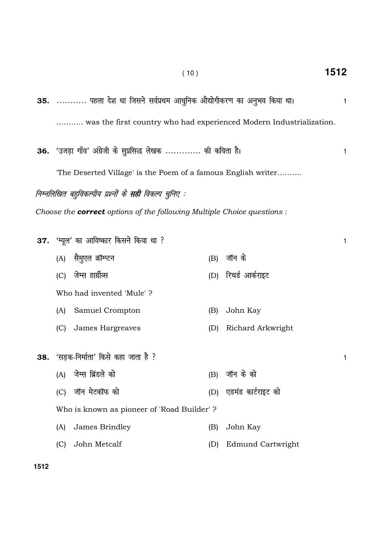| 35.  पहला देश था जिसने सर्वप्रथम आधुनिक औद्योगीकरण का अनुभव किया था।<br>1 |                                                                               |     |                          |              |  |
|---------------------------------------------------------------------------|-------------------------------------------------------------------------------|-----|--------------------------|--------------|--|
| was the first country who had experienced Modern Industrialization.       |                                                                               |     |                          |              |  |
|                                                                           | 36. 'उजड़ा गाँव' अंग्रेजी के सुप्रसिद्ध लेखक  की कविता है।                    |     |                          | 1            |  |
|                                                                           | The Deserted Village' is the Poem of a famous English writer                  |     |                          |              |  |
|                                                                           | निम्नलिखित बहुविकल्पीय प्रश्नों के <b>सही</b> विकल्प चुनिए :                  |     |                          |              |  |
|                                                                           | Choose the <b>correct</b> options of the following Multiple Choice questions: |     |                          |              |  |
|                                                                           | 37. 'म्यूल' का आविष्कार किसने किया था ?                                       |     |                          | $\mathbf{1}$ |  |
|                                                                           | (A) सैमुएल क्रॉम्प्टन                                                         | (B) | जॉन के                   |              |  |
|                                                                           | (C) जेम्स हार्प्रीव्स                                                         |     | (D) रिचर्ड आर्कराइट      |              |  |
|                                                                           | Who had invented 'Mule'?                                                      |     |                          |              |  |
| (A)                                                                       | Samuel Crompton                                                               | (B) | John Kay                 |              |  |
| (C)                                                                       | James Hargreaves                                                              | (D) | Richard Arkwright        |              |  |
|                                                                           | 38. 'सड़क-निर्माता' किसे कहा जाता है ?                                        |     |                          | $\mathbf{1}$ |  |
| (A)                                                                       | जेम्स ब्रिंडले को                                                             | (B) | जॉन के को                |              |  |
| (C)                                                                       | जॉन मेटकॉफ को                                                                 | (D) | एडमंड कार्टराइट को       |              |  |
|                                                                           | Who is known as pioneer of 'Road Builder'?                                    |     |                          |              |  |
| (A)                                                                       | James Brindley                                                                | (B) | John Kay                 |              |  |
| (C)                                                                       | John Metcalf                                                                  | (D) | <b>Edmund Cartwright</b> |              |  |

( 10 ) **1512**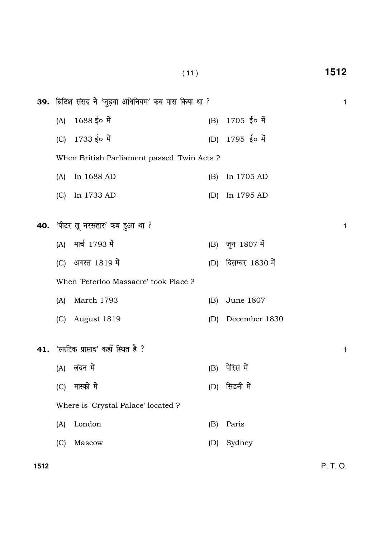|     | (11)                                       |                                                       |     |                      |   |  |
|-----|--------------------------------------------|-------------------------------------------------------|-----|----------------------|---|--|
|     |                                            | 39. ब्रिटिश संसद ने 'जुड़वा अधिनियम' कब पास किया था ? |     |                      | 1 |  |
|     | (A)                                        | 1688 ई० में                                           | (B) | $1705$ ई० में        |   |  |
|     | (C)                                        | 1733 ई० में                                           | (D) | 1795 ई० में          |   |  |
|     | When British Parliament passed 'Twin Acts? |                                                       |     |                      |   |  |
|     | (A)                                        | In 1688 AD                                            | (B) | In 1705 AD           |   |  |
|     | (C)                                        | In 1733 AD                                            | (D) | In 1795 AD           |   |  |
| 40. |                                            | 'पीटर लू नरसंहार' कब हुआ था ?                         |     |                      | 1 |  |
|     | (A)                                        | मार्च 1793 में                                        |     | (B) जून 1807 में     |   |  |
|     | (C)                                        | अगस्त 1819 में                                        |     | (D) दिसम्बर 1830 में |   |  |
|     |                                            | When 'Peterloo Massacre' took Place ?                 |     |                      |   |  |
|     | (A)                                        | March 1793                                            | (B) | June 1807            |   |  |
|     | (C)                                        | August 1819                                           | (D) | December 1830        |   |  |
|     |                                            | 41. 'स्फटिक प्रासाद' कहाँ स्थित है ?                  |     |                      | 1 |  |
|     | (A)                                        | लंदन में                                              | (B) | पेरिस में            |   |  |
|     | (C)                                        | मास्को में                                            | (D) | सिडनी में            |   |  |
|     |                                            | Where is 'Crystal Palace' located ?                   |     |                      |   |  |
|     | (A)                                        | London                                                | (B) | Paris                |   |  |
|     | (C)                                        | Mascow                                                | (D) | Sydney               |   |  |
|     |                                            |                                                       |     |                      |   |  |

**1512** P. T. O.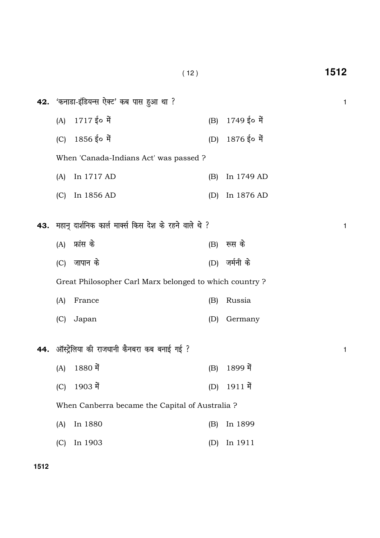|     | (12)                                       |                                                         |     |             | 1512 |
|-----|--------------------------------------------|---------------------------------------------------------|-----|-------------|------|
|     |                                            | 42. 'कनाडा-इंडियन्स ऐक्ट' कब पास हुआ था ?               |     |             | 1    |
|     | (A)                                        | $1717$ ई० में                                           | (B) | 1749 ई० में |      |
|     | (C)                                        | $1856$ ई० में                                           | (D) | 1876 ई० में |      |
|     |                                            | When 'Canada-Indians Act' was passed ?                  |     |             |      |
|     | (A)                                        | In 1717 AD                                              | (B) | In 1749 AD  |      |
|     | (C)                                        | In 1856 AD                                              | (D) | In 1876 AD  |      |
| 43. |                                            | महान् दार्शनिक कार्ल मार्क्स किस देश के रहने वाले थे ?  |     |             | 1    |
|     | (A)                                        | फ्रांस के                                               | (B) | रूस के      |      |
|     | (C)                                        | जापान के                                                | (D) | जर्मनी के   |      |
|     |                                            | Great Philosopher Carl Marx belonged to which country ? |     |             |      |
|     | (A)                                        | France                                                  | (B) | Russia      |      |
|     | (C)                                        | Japan                                                   | (D) | Germany     |      |
| 44. | ऑस्ट्रेलिया की राजधानी कैनबरा कब बनाई गई ? |                                                         |     |             | 1    |
|     | (A)                                        | 1880 में                                                | (B) | 1899 में    |      |
|     | (C)                                        | 1903 में                                                | (D) | 1911 में    |      |
|     |                                            | When Canberra became the Capital of Australia?          |     |             |      |
|     | (A)                                        | In 1880                                                 | (B) | In 1899     |      |
|     | (C)                                        | In 1903                                                 | (D) | In 1911     |      |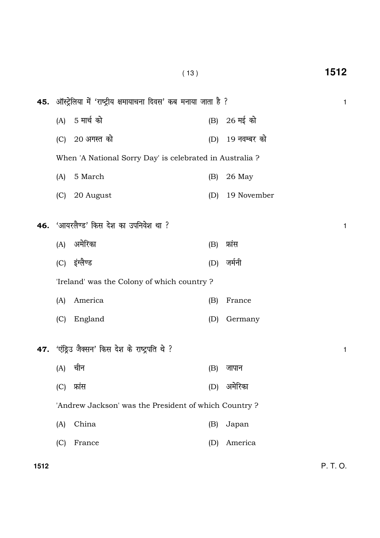| 45. ऑस्ट्रेलिया में 'राष्ट्रीय क्षमायाचना दिवस' कब मनाया जाता है ? |                                                 |     |              |   |  |
|--------------------------------------------------------------------|-------------------------------------------------|-----|--------------|---|--|
| (A)                                                                | 5 मार्च को                                      |     | (B) 26 मई को |   |  |
| (C)                                                                | 20 अगस्त को                                     | (D) | 19 नवम्बर को |   |  |
| When 'A National Sorry Day' is celebrated in Australia?            |                                                 |     |              |   |  |
| (A)                                                                | 5 March                                         | (B) | 26 May       |   |  |
| (C)                                                                | 20 August                                       | (D) | 19 November  |   |  |
|                                                                    | 46. 'आयरलैण्ड' किस देश का उपनिवेश था ?          |     |              | 1 |  |
| (A)                                                                | अमेरिका                                         | (B) | फ्रांस       |   |  |
|                                                                    | (C) इंग्लैण्ड                                   | (D) | जर्मनी       |   |  |
| 'Ireland' was the Colony of which country?                         |                                                 |     |              |   |  |
| (A)                                                                | America                                         | (B) | France       |   |  |
| (C)                                                                | England                                         | (D) | Germany      |   |  |
|                                                                    | 47. 'एंड्रिउ जैक्सन' किस देश के राष्ट्रपति थे ? |     |              | 1 |  |
| (A)                                                                | चीन                                             | (B) | जापान        |   |  |
| (C)                                                                | फ्रांस                                          | (D) | अमेरिका      |   |  |
| 'Andrew Jackson' was the President of which Country?               |                                                 |     |              |   |  |
| (A)                                                                | China                                           | (B) | Japan        |   |  |
| (C)                                                                | France                                          | (D) | America      |   |  |
|                                                                    |                                                 |     |              |   |  |

( 13 ) **1512**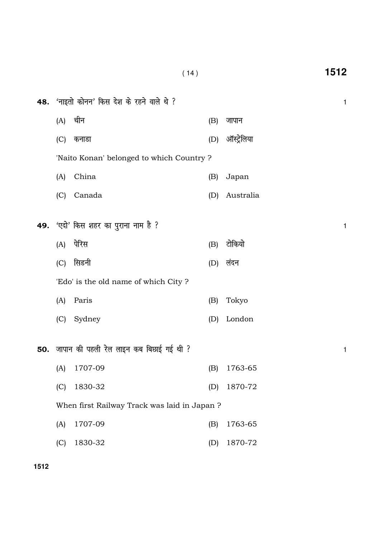| 48. | 'नाइतो कोनन' किस देश के रहने वाले थे ?       |                                             |     |             |   |
|-----|----------------------------------------------|---------------------------------------------|-----|-------------|---|
|     | (A)                                          | चीन                                         | (B) | जापान       |   |
|     | (C)                                          | कनाडा                                       | (D) | ऑस्ट्रेलिया |   |
|     |                                              | 'Naito Konan' belonged to which Country?    |     |             |   |
|     | (A)                                          | China                                       | (B) | Japan       |   |
|     | (C)                                          | Canada                                      | (D) | Australia   |   |
|     |                                              |                                             |     |             |   |
| 49. |                                              | 'एदो' किस शहर का पुराना नाम है ?            |     |             | 1 |
|     | (A)                                          | पेरिस                                       | (B) | टोकियो      |   |
|     | (C)                                          | सिडनी                                       | (D) | लंदन        |   |
|     |                                              | 'Edo' is the old name of which City?        |     |             |   |
|     | (A)                                          | Paris                                       | (B) | Tokyo       |   |
|     | (C)                                          | Sydney                                      | (D) | London      |   |
|     |                                              | 50. जापान की पहली रेल लाइन कब बिछाई गई थी ? |     |             | 1 |
|     | (A)                                          | 1707-09                                     | (B) | 1763-65     |   |
|     | (C)                                          | 1830-32                                     | (D) | 1870-72     |   |
|     | When first Railway Track was laid in Japan ? |                                             |     |             |   |
|     | (A)                                          | 1707-09                                     | (B) | 1763-65     |   |
|     | (C)                                          | 1830-32                                     | (D) | 1870-72     |   |

( 14 ) **1512**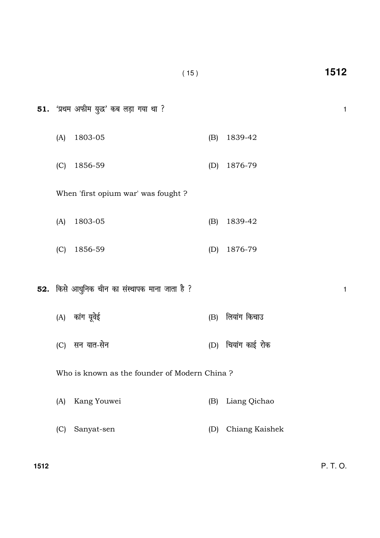(A) कांग यूवेई (B) लियांग किचाउ

(A) 1803-05 (B) 1839-42

(C) 1856-59 (D) 1876-79

(C) lu ;kr-l su (D) fp;k ax dkbZ jksd

Who is known as the founder of Modern China ?

- (A) Kang Youwei (B) Liang Qichao
- (C) Sanyat-sen (D) Chiang Kaishek

**1512** P. T. O.

51. 'प्रथम अफीम युद्ध' कब लड़ा गया था ?